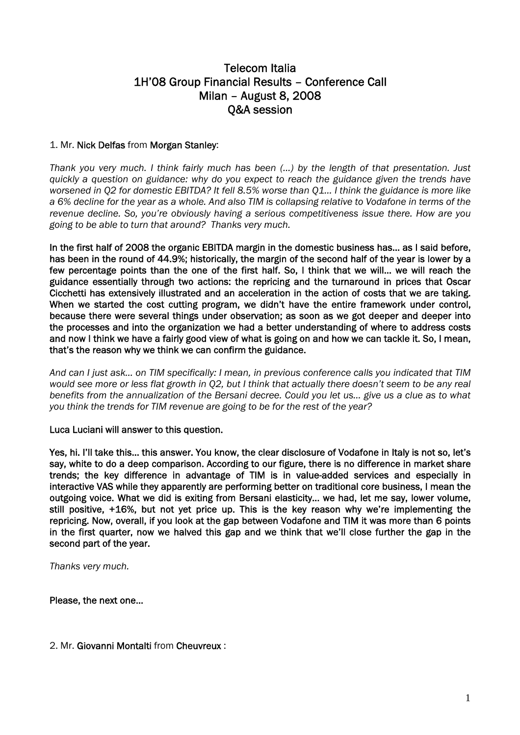# Telecom Italia 1H'08 Group Financial Results – Conference Call Milan – August 8, 2008 Q&A session

# 1. Mr. Nick Delfas from Morgan Stanley:

*Thank you very much. I think fairly much has been (…) by the length of that presentation. Just quickly a question on guidance: why do you expect to reach the guidance given the trends have worsened in Q2 for domestic EBITDA? It fell 8.5% worse than Q1… I think the guidance is more like a 6% decline for the year as a whole. And also TIM is collapsing relative to Vodafone in terms of the revenue decline. So, you're obviously having a serious competitiveness issue there. How are you going to be able to turn that around? Thanks very much.* 

In the first half of 2008 the organic EBITDA margin in the domestic business has… as I said before, has been in the round of 44.9%; historically, the margin of the second half of the year is lower by a few percentage points than the one of the first half. So, I think that we will… we will reach the guidance essentially through two actions: the repricing and the turnaround in prices that Oscar Cicchetti has extensively illustrated and an acceleration in the action of costs that we are taking. When we started the cost cutting program, we didn't have the entire framework under control, because there were several things under observation; as soon as we got deeper and deeper into the processes and into the organization we had a better understanding of where to address costs and now I think we have a fairly good view of what is going on and how we can tackle it. So, I mean, that's the reason why we think we can confirm the guidance.

*And can I just ask… on TIM specifically: I mean, in previous conference calls you indicated that TIM would see more or less flat growth in Q2, but I think that actually there doesn't seem to be any real benefits from the annualization of the Bersani decree. Could you let us… give us a clue as to what you think the trends for TIM revenue are going to be for the rest of the year?* 

# Luca Luciani will answer to this question.

Yes, hi. I'll take this… this answer. You know, the clear disclosure of Vodafone in Italy is not so, let's say, white to do a deep comparison. According to our figure, there is no difference in market share trends; the key difference in advantage of TIM is in value-added services and especially in interactive VAS while they apparently are performing better on traditional core business, I mean the outgoing voice. What we did is exiting from Bersani elasticity… we had, let me say, lower volume, still positive, +16%, but not yet price up. This is the key reason why we're implementing the repricing. Now, overall, if you look at the gap between Vodafone and TIM it was more than 6 points in the first quarter, now we halved this gap and we think that we'll close further the gap in the second part of the year.

*Thanks very much.* 

Please, the next one…

2. Mr. Giovanni Montalti from Cheuvreux :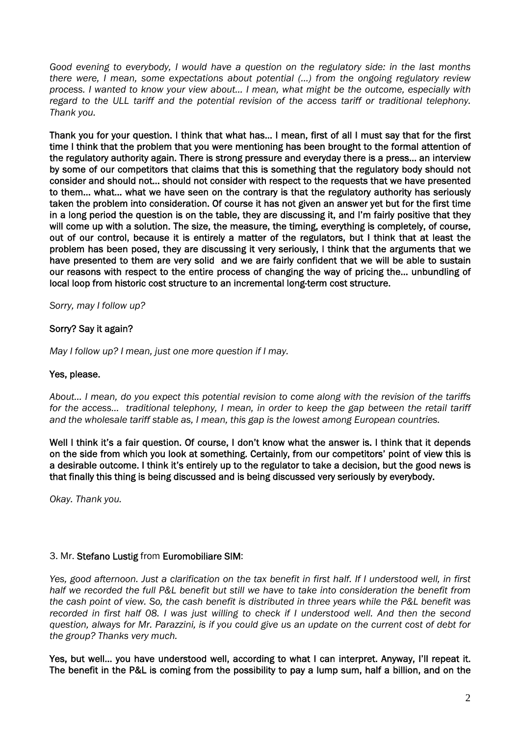*Good evening to everybody, I would have a question on the regulatory side: in the last months there were, I mean, some expectations about potential (…) from the ongoing regulatory review process. I wanted to know your view about… I mean, what might be the outcome, especially with regard to the ULL tariff and the potential revision of the access tariff or traditional telephony. Thank you.* 

Thank you for your question. I think that what has… I mean, first of all I must say that for the first time I think that the problem that you were mentioning has been brought to the formal attention of the regulatory authority again. There is strong pressure and everyday there is a press… an interview by some of our competitors that claims that this is something that the regulatory body should not consider and should not… should not consider with respect to the requests that we have presented to them... what... what we have seen on the contrary is that the regulatory authority has seriously taken the problem into consideration. Of course it has not given an answer yet but for the first time in a long period the question is on the table, they are discussing it, and I'm fairly positive that they will come up with a solution. The size, the measure, the timing, everything is completely, of course, out of our control, because it is entirely a matter of the regulators, but I think that at least the problem has been posed, they are discussing it very seriously, I think that the arguments that we have presented to them are very solid and we are fairly confident that we will be able to sustain our reasons with respect to the entire process of changing the way of pricing the… unbundling of local loop from historic cost structure to an incremental long-term cost structure.

*Sorry, may I follow up?* 

# Sorry? Say it again?

*May I follow up? I mean, just one more question if I may.* 

# Yes, please.

*About… I mean, do you expect this potential revision to come along with the revision of the tariffs for the access… traditional telephony, I mean, in order to keep the gap between the retail tariff and the wholesale tariff stable as, I mean, this gap is the lowest among European countries.* 

Well I think it's a fair question. Of course, I don't know what the answer is. I think that it depends on the side from which you look at something. Certainly, from our competitors' point of view this is a desirable outcome. I think it's entirely up to the regulator to take a decision, but the good news is that finally this thing is being discussed and is being discussed very seriously by everybody.

*Okay. Thank you.* 

# 3. Mr. Stefano Lustig from Euromobiliare SIM:

*Yes, good afternoon. Just a clarification on the tax benefit in first half. If I understood well, in first half we recorded the full P&L benefit but still we have to take into consideration the benefit from the cash point of view. So, the cash benefit is distributed in three years while the P&L benefit was recorded in first half 08. I was just willing to check if I understood well. And then the second question, always for Mr. Parazzini, is if you could give us an update on the current cost of debt for the group? Thanks very much.* 

Yes, but well… you have understood well, according to what I can interpret. Anyway, I'll repeat it. The benefit in the P&L is coming from the possibility to pay a lump sum, half a billion, and on the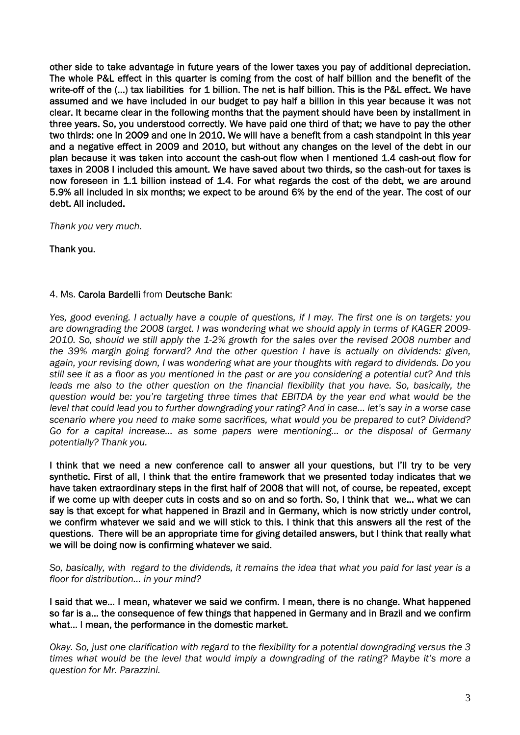other side to take advantage in future years of the lower taxes you pay of additional depreciation. The whole P&L effect in this quarter is coming from the cost of half billion and the benefit of the write-off of the (...) tax liabilities for 1 billion. The net is half billion. This is the P&L effect. We have assumed and we have included in our budget to pay half a billion in this year because it was not clear. It became clear in the following months that the payment should have been by installment in three years. So, you understood correctly. We have paid one third of that; we have to pay the other two thirds: one in 2009 and one in 2010. We will have a benefit from a cash standpoint in this year and a negative effect in 2009 and 2010, but without any changes on the level of the debt in our plan because it was taken into account the cash-out flow when I mentioned 1.4 cash-out flow for taxes in 2008 I included this amount. We have saved about two thirds, so the cash-out for taxes is now foreseen in 1.1 billion instead of 1.4. For what regards the cost of the debt, we are around 5.9% all included in six months; we expect to be around 6% by the end of the year. The cost of our debt. All included.

*Thank you very much.* 

Thank you.

# 4. Ms. Carola Bardelli from Deutsche Bank:

*Yes, good evening. I actually have a couple of questions, if I may. The first one is on targets: you are downgrading the 2008 target. I was wondering what we should apply in terms of KAGER 2009- 2010. So, should we still apply the 1-2% growth for the sales over the revised 2008 number and the 39% margin going forward? And the other question I have is actually on dividends: given, again, your revising down, I was wondering what are your thoughts with regard to dividends. Do you still see it as a floor as you mentioned in the past or are you considering a potential cut? And this*  leads me also to the other question on the financial flexibility that you have. So, basically, the *question would be: you're targeting three times that EBITDA by the year end what would be the level that could lead you to further downgrading your rating? And in case… let's say in a worse case scenario where you need to make some sacrifices, what would you be prepared to cut? Dividend? Go for a capital increase… as some papers were mentioning… or the disposal of Germany potentially? Thank you.* 

I think that we need a new conference call to answer all your questions, but I'll try to be very synthetic. First of all, I think that the entire framework that we presented today indicates that we have taken extraordinary steps in the first half of 2008 that will not, of course, be repeated, except if we come up with deeper cuts in costs and so on and so forth. So, I think that we… what we can say is that except for what happened in Brazil and in Germany, which is now strictly under control, we confirm whatever we said and we will stick to this. I think that this answers all the rest of the questions. There will be an appropriate time for giving detailed answers, but I think that really what we will be doing now is confirming whatever we said.

*So, basically, with regard to the dividends, it remains the idea that what you paid for last year is a floor for distribution… in your mind?* 

I said that we… I mean, whatever we said we confirm. I mean, there is no change. What happened so far is a… the consequence of few things that happened in Germany and in Brazil and we confirm what… I mean, the performance in the domestic market.

*Okay. So, just one clarification with regard to the flexibility for a potential downgrading versus the 3 times what would be the level that would imply a downgrading of the rating? Maybe it's more a question for Mr. Parazzini.*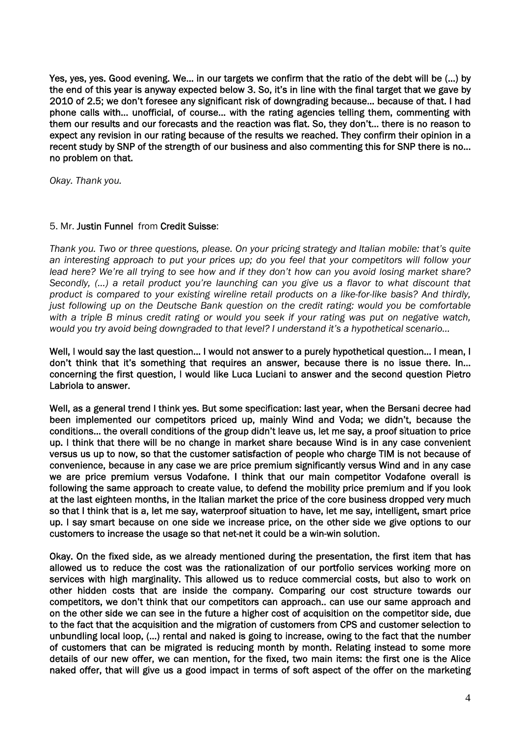Yes, yes, yes. Good evening. We… in our targets we confirm that the ratio of the debt will be (…) by the end of this year is anyway expected below 3. So, it's in line with the final target that we gave by 2010 of 2.5; we don't foresee any significant risk of downgrading because… because of that. I had phone calls with… unofficial, of course… with the rating agencies telling them, commenting with them our results and our forecasts and the reaction was flat. So, they don't… there is no reason to expect any revision in our rating because of the results we reached. They confirm their opinion in a recent study by SNP of the strength of our business and also commenting this for SNP there is no… no problem on that.

*Okay. Thank you.* 

# 5. Mr. Justin Funnel from Credit Suisse:

*Thank you. Two or three questions, please. On your pricing strategy and Italian mobile: that's quite an interesting approach to put your prices up; do you feel that your competitors will follow your lead here? We're all trying to see how and if they don't how can you avoid losing market share? Secondly, (…) a retail product you're launching can you give us a flavor to what discount that product is compared to your existing wireline retail products on a like-for-like basis? And thirdly, just following up on the Deutsche Bank question on the credit rating: would you be comfortable with a triple B minus credit rating or would you seek if your rating was put on negative watch, would you try avoid being downgraded to that level? I understand it's a hypothetical scenario…* 

Well, I would say the last question... I would not answer to a purely hypothetical question... I mean, I don't think that it's something that requires an answer, because there is no issue there. In… concerning the first question, I would like Luca Luciani to answer and the second question Pietro Labriola to answer.

Well, as a general trend I think yes. But some specification: last year, when the Bersani decree had been implemented our competitors priced up, mainly Wind and Voda; we didn't, because the conditions… the overall conditions of the group didn't leave us, let me say, a proof situation to price up. I think that there will be no change in market share because Wind is in any case convenient versus us up to now, so that the customer satisfaction of people who charge TIM is not because of convenience, because in any case we are price premium significantly versus Wind and in any case we are price premium versus Vodafone. I think that our main competitor Vodafone overall is following the same approach to create value, to defend the mobility price premium and if you look at the last eighteen months, in the Italian market the price of the core business dropped very much so that I think that is a, let me say, waterproof situation to have, let me say, intelligent, smart price up. I say smart because on one side we increase price, on the other side we give options to our customers to increase the usage so that net-net it could be a win-win solution.

Okay. On the fixed side, as we already mentioned during the presentation, the first item that has allowed us to reduce the cost was the rationalization of our portfolio services working more on services with high marginality. This allowed us to reduce commercial costs, but also to work on other hidden costs that are inside the company. Comparing our cost structure towards our competitors, we don't think that our competitors can approach.. can use our same approach and on the other side we can see in the future a higher cost of acquisition on the competitor side, due to the fact that the acquisition and the migration of customers from CPS and customer selection to unbundling local loop, (…) rental and naked is going to increase, owing to the fact that the number of customers that can be migrated is reducing month by month. Relating instead to some more details of our new offer, we can mention, for the fixed, two main items: the first one is the Alice naked offer, that will give us a good impact in terms of soft aspect of the offer on the marketing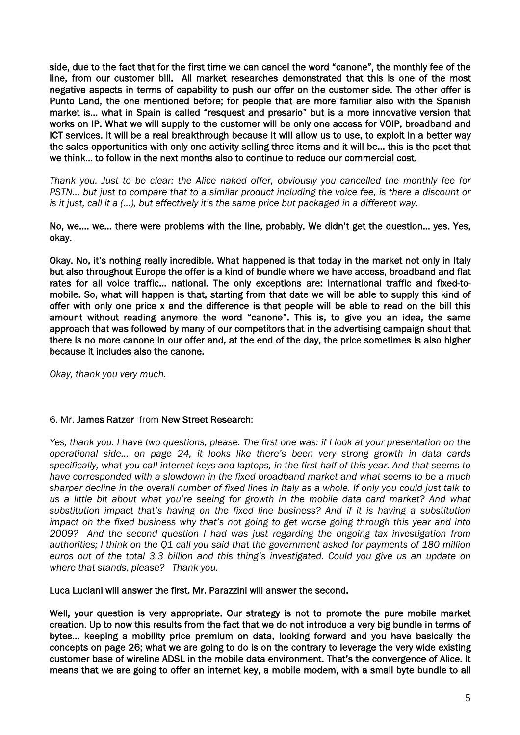side, due to the fact that for the first time we can cancel the word "canone", the monthly fee of the line, from our customer bill. All market researches demonstrated that this is one of the most negative aspects in terms of capability to push our offer on the customer side. The other offer is Punto Land, the one mentioned before; for people that are more familiar also with the Spanish market is… what in Spain is called "resquest and presario" but is a more innovative version that works on IP. What we will supply to the customer will be only one access for VOIP, broadband and ICT services. It will be a real breakthrough because it will allow us to use, to exploit in a better way the sales opportunities with only one activity selling three items and it will be… this is the pact that we think… to follow in the next months also to continue to reduce our commercial cost.

*Thank you. Just to be clear: the Alice naked offer, obviously you cancelled the monthly fee for PSTN… but just to compare that to a similar product including the voice fee, is there a discount or is it just, call it a (…), but effectively it's the same price but packaged in a different way.* 

No, we…. we… there were problems with the line, probably. We didn't get the question… yes. Yes, okay.

Okay. No, it's nothing really incredible. What happened is that today in the market not only in Italy but also throughout Europe the offer is a kind of bundle where we have access, broadband and flat rates for all voice traffic… national. The only exceptions are: international traffic and fixed-tomobile. So, what will happen is that, starting from that date we will be able to supply this kind of offer with only one price x and the difference is that people will be able to read on the bill this amount without reading anymore the word "canone". This is, to give you an idea, the same approach that was followed by many of our competitors that in the advertising campaign shout that there is no more canone in our offer and, at the end of the day, the price sometimes is also higher because it includes also the canone.

*Okay, thank you very much.* 

# 6. Mr. James Ratzer from New Street Research:

*Yes, thank you. I have two questions, please. The first one was: if I look at your presentation on the operational side… on page 24, it looks like there's been very strong growth in data cards specifically, what you call internet keys and laptops, in the first half of this year. And that seems to have corresponded with a slowdown in the fixed broadband market and what seems to be a much sharper decline in the overall number of fixed lines in Italy as a whole. If only you could just talk to us a little bit about what you're seeing for growth in the mobile data card market? And what substitution impact that's having on the fixed line business? And if it is having a substitution impact on the fixed business why that's not going to get worse going through this year and into 2009? And the second question I had was just regarding the ongoing tax investigation from authorities; I think on the Q1 call you said that the government asked for payments of 180 million euros out of the total 3.3 billion and this thing's investigated. Could you give us an update on where that stands, please? Thank you.* 

Luca Luciani will answer the first. Mr. Parazzini will answer the second.

Well, your question is very appropriate. Our strategy is not to promote the pure mobile market creation. Up to now this results from the fact that we do not introduce a very big bundle in terms of bytes… keeping a mobility price premium on data, looking forward and you have basically the concepts on page 26; what we are going to do is on the contrary to leverage the very wide existing customer base of wireline ADSL in the mobile data environment. That's the convergence of Alice. It means that we are going to offer an internet key, a mobile modem, with a small byte bundle to all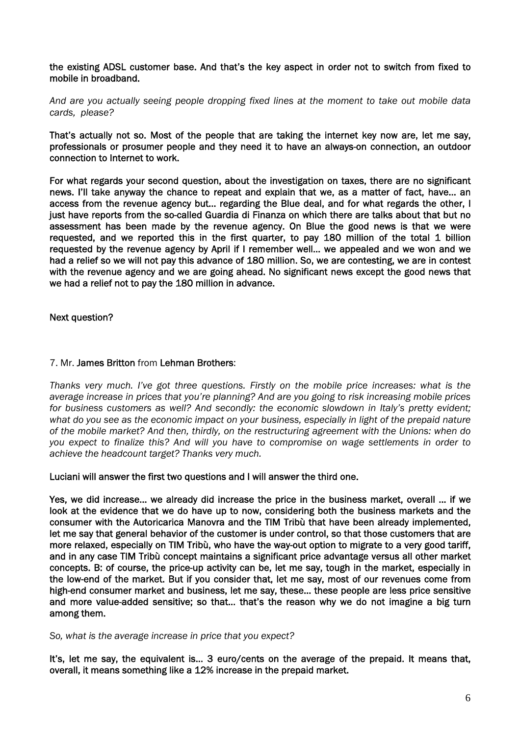the existing ADSL customer base. And that's the key aspect in order not to switch from fixed to mobile in broadband.

*And are you actually seeing people dropping fixed lines at the moment to take out mobile data cards, please?* 

That's actually not so. Most of the people that are taking the internet key now are, let me say, professionals or prosumer people and they need it to have an always-on connection, an outdoor connection to Internet to work.

For what regards your second question, about the investigation on taxes, there are no significant news. I'll take anyway the chance to repeat and explain that we, as a matter of fact, have… an access from the revenue agency but… regarding the Blue deal, and for what regards the other, I just have reports from the so-called Guardia di Finanza on which there are talks about that but no assessment has been made by the revenue agency. On Blue the good news is that we were requested, and we reported this in the first quarter, to pay 180 million of the total 1 billion requested by the revenue agency by April if I remember well… we appealed and we won and we had a relief so we will not pay this advance of 180 million. So, we are contesting, we are in contest with the revenue agency and we are going ahead. No significant news except the good news that we had a relief not to pay the 180 million in advance.

Next question?

### 7. Mr. James Britton from Lehman Brothers:

*Thanks very much. I've got three questions. Firstly on the mobile price increases: what is the average increase in prices that you're planning? And are you going to risk increasing mobile prices for business customers as well? And secondly: the economic slowdown in Italy's pretty evident; what do you see as the economic impact on your business, especially in light of the prepaid nature of the mobile market? And then, thirdly, on the restructuring agreement with the Unions: when do you expect to finalize this? And will you have to compromise on wage settlements in order to achieve the headcount target? Thanks very much.* 

Luciani will answer the first two questions and I will answer the third one.

Yes, we did increase… we already did increase the price in the business market, overall … if we look at the evidence that we do have up to now, considering both the business markets and the consumer with the Autoricarica Manovra and the TIM Tribù that have been already implemented, let me say that general behavior of the customer is under control, so that those customers that are more relaxed, especially on TIM Tribù, who have the way-out option to migrate to a very good tariff, and in any case TIM Tribù concept maintains a significant price advantage versus all other market concepts. B: of course, the price-up activity can be, let me say, tough in the market, especially in the low-end of the market. But if you consider that, let me say, most of our revenues come from high-end consumer market and business, let me say, these… these people are less price sensitive and more value-added sensitive; so that… that's the reason why we do not imagine a big turn among them.

#### *So, what is the average increase in price that you expect?*

It's, let me say, the equivalent is… 3 euro/cents on the average of the prepaid. It means that, overall, it means something like a 12% increase in the prepaid market.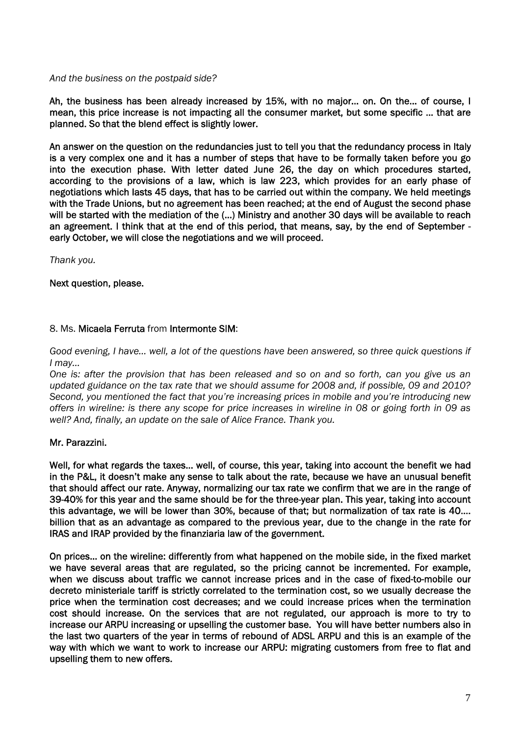# *And the business on the postpaid side?*

Ah, the business has been already increased by 15%, with no major… on. On the… of course, I mean, this price increase is not impacting all the consumer market, but some specific … that are planned. So that the blend effect is slightly lower.

An answer on the question on the redundancies just to tell you that the redundancy process in Italy is a very complex one and it has a number of steps that have to be formally taken before you go into the execution phase. With letter dated June 26, the day on which procedures started, according to the provisions of a law, which is law 223, which provides for an early phase of negotiations which lasts 45 days, that has to be carried out within the company. We held meetings with the Trade Unions, but no agreement has been reached; at the end of August the second phase will be started with the mediation of the (...) Ministry and another 30 days will be available to reach an agreement. I think that at the end of this period, that means, say, by the end of September early October, we will close the negotiations and we will proceed.

*Thank you.* 

# Next question, please.

#### 8. Ms. Micaela Ferruta from Intermonte SIM:

*Good evening, I have… well, a lot of the questions have been answered, so three quick questions if I may…* 

*One is: after the provision that has been released and so on and so forth, can you give us an*  updated guidance on the tax rate that we should assume for 2008 and, if possible, 09 and 2010? *Second, you mentioned the fact that you're increasing prices in mobile and you're introducing new offers in wireline: is there any scope for price increases in wireline in 08 or going forth in 09 as well? And, finally, an update on the sale of Alice France. Thank you.* 

# Mr. Parazzini.

Well, for what regards the taxes… well, of course, this year, taking into account the benefit we had in the P&L, it doesn't make any sense to talk about the rate, because we have an unusual benefit that should affect our rate. Anyway, normalizing our tax rate we confirm that we are in the range of 39-40% for this year and the same should be for the three-year plan. This year, taking into account this advantage, we will be lower than 30%, because of that; but normalization of tax rate is 40…. billion that as an advantage as compared to the previous year, due to the change in the rate for IRAS and IRAP provided by the finanziaria law of the government.

On prices… on the wireline: differently from what happened on the mobile side, in the fixed market we have several areas that are regulated, so the pricing cannot be incremented. For example, when we discuss about traffic we cannot increase prices and in the case of fixed-to-mobile our decreto ministeriale tariff is strictly correlated to the termination cost, so we usually decrease the price when the termination cost decreases; and we could increase prices when the termination cost should increase. On the services that are not regulated, our approach is more to try to increase our ARPU increasing or upselling the customer base. You will have better numbers also in the last two quarters of the year in terms of rebound of ADSL ARPU and this is an example of the way with which we want to work to increase our ARPU: migrating customers from free to flat and upselling them to new offers.